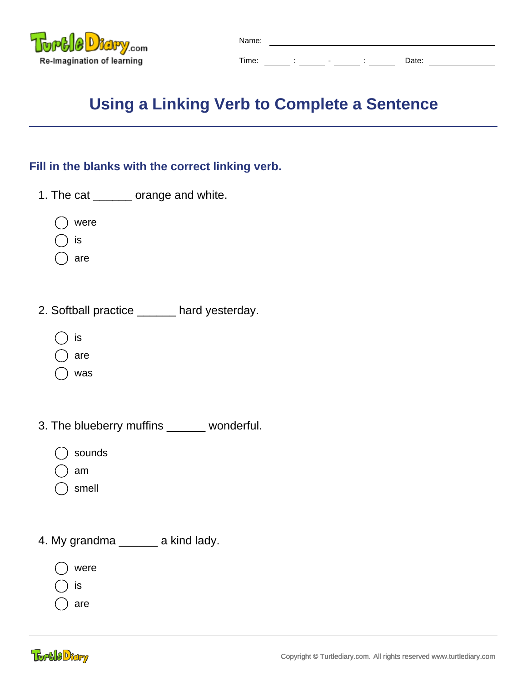

| Name: |   |                          |       |  |
|-------|---|--------------------------|-------|--|
| Time: | ٠ | $\overline{\phantom{0}}$ | Date: |  |

## **Using a Linking Verb to Complete a Sentence**

## **Fill in the blanks with the correct linking verb.**

- 1. The cat \_\_\_\_\_\_ orange and white.
	- were
	- is
	- are
- 2. Softball practice \_\_\_\_\_\_ hard yesterday.
	- is
	- are
	- was
- 3. The blueberry muffins \_\_\_\_\_\_ wonderful.
	- sounds
	- am
	- smell
- 4. My grandma \_\_\_\_\_\_ a kind lady.
	- were
	- is
	- are

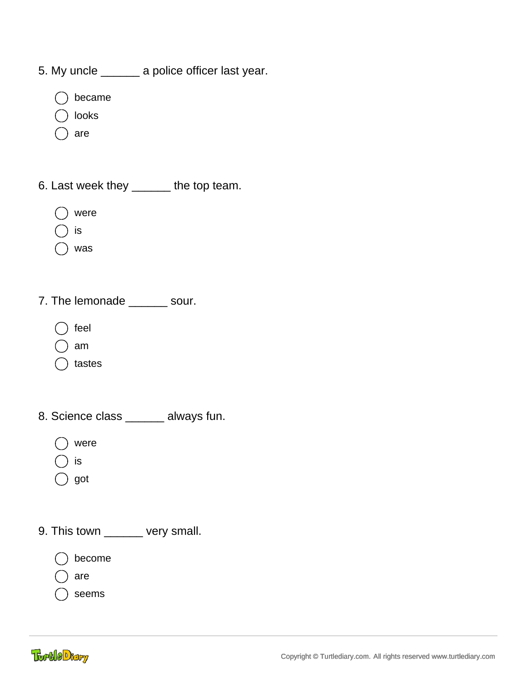- 5. My uncle \_\_\_\_\_\_ a police officer last year.
	- became
	- looks
	- are
- 6. Last week they \_\_\_\_\_\_ the top team.
	- were
	- is
	- was
- 7. The lemonade \_\_\_\_\_\_\_ sour.
	- feel
	- am
	- tastes
- 8. Science class \_\_\_\_\_\_ always fun.
	- were
	- is
	- $\bigcirc$  got
- 9. This town \_\_\_\_\_\_ very small.
	- become
	- are
	- seems

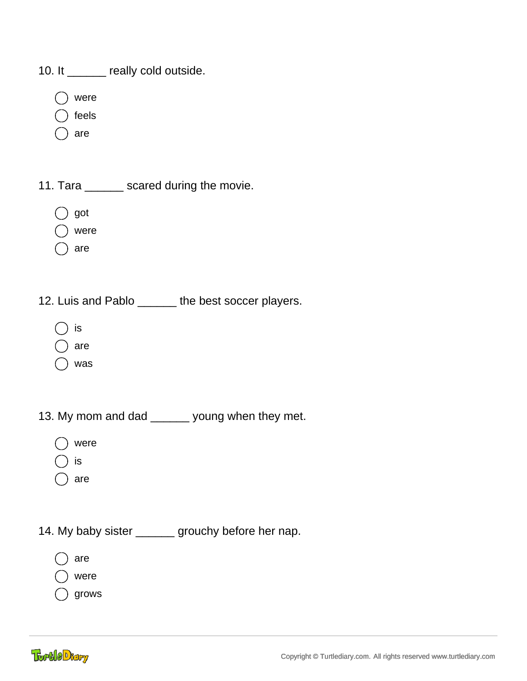10. It \_\_\_\_\_\_ really cold outside.

- were
- feels
- are

11. Tara \_\_\_\_\_\_\_ scared during the movie.

- got
- were
- are
- 12. Luis and Pablo \_\_\_\_\_\_ the best soccer players.
	- is
	- are
	- was
- 13. My mom and dad \_\_\_\_\_\_ young when they met.
	- were
	- is
	- ) are
- 14. My baby sister \_\_\_\_\_\_ grouchy before her nap.
	- are
	- were
	- grows